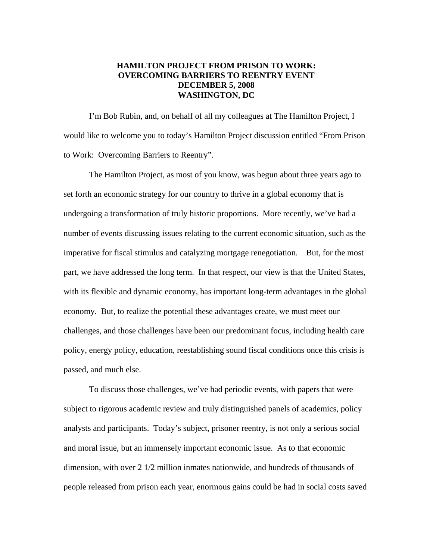## **HAMILTON PROJECT FROM PRISON TO WORK: OVERCOMING BARRIERS TO REENTRY EVENT DECEMBER 5, 2008 WASHINGTON, DC**

I'm Bob Rubin, and, on behalf of all my colleagues at The Hamilton Project, I would like to welcome you to today's Hamilton Project discussion entitled "From Prison to Work: Overcoming Barriers to Reentry".

The Hamilton Project, as most of you know, was begun about three years ago to set forth an economic strategy for our country to thrive in a global economy that is undergoing a transformation of truly historic proportions. More recently, we've had a number of events discussing issues relating to the current economic situation, such as the imperative for fiscal stimulus and catalyzing mortgage renegotiation. But, for the most part, we have addressed the long term. In that respect, our view is that the United States, with its flexible and dynamic economy, has important long-term advantages in the global economy. But, to realize the potential these advantages create, we must meet our challenges, and those challenges have been our predominant focus, including health care policy, energy policy, education, reestablishing sound fiscal conditions once this crisis is passed, and much else.

To discuss those challenges, we've had periodic events, with papers that were subject to rigorous academic review and truly distinguished panels of academics, policy analysts and participants. Today's subject, prisoner reentry, is not only a serious social and moral issue, but an immensely important economic issue. As to that economic dimension, with over 2 1/2 million inmates nationwide, and hundreds of thousands of people released from prison each year, enormous gains could be had in social costs saved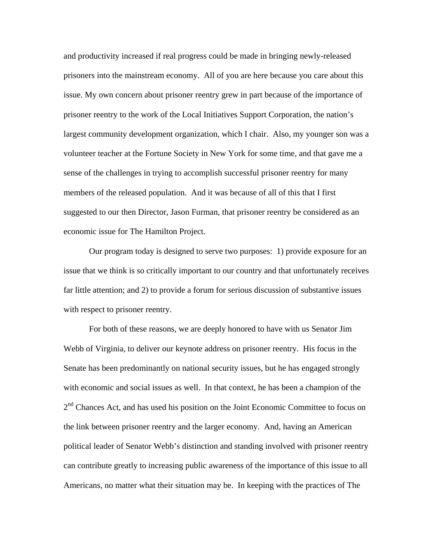and productivity increased if real progress could be made in bringing newly-released prisoners into the mainstream economy. All of you are here because you care about this issue. My own concern about prisoner reentry grew in part because of the importance of prisoner reentry to the work of the Local Initiatives Support Corporation, the nation's largest community development organization, which I chair. Also, my younger son was a volunteer teacher at the Fortune Society in New York for some time, and that gave me a sense of the challenges in trying to accomplish successful prisoner reentry for many members of the released population. And it was because of all of this that I first suggested to our then Director, Jason Furman, that prisoner reentry be considered as an economic issue for The Hamilton Project.

Our program today is designed to serve two purposes: 1) provide exposure for an issue that we think is so critically important to our country and that unfortunately receives far little attention; and 2) to provide a forum for serious discussion of substantive issues with respect to prisoner reentry.

For both of these reasons, we are deeply honored to have with us Senator Jim Webb of Virginia, to deliver our keynote address on prisoner reentry. His focus in the Senate has been predominantly on national security issues, but he has engaged strongly with economic and social issues as well. In that context, he has been a champion of the  $2<sup>nd</sup>$  Chances Act, and has used his position on the Joint Economic Committee to focus on the link between prisoner reentry and the larger economy. And, having an American political leader of Senator Webb's distinction and standing involved with prisoner reentry can contribute greatly to increasing public awareness of the importance of this issue to all Americans, no matter what their situation may be. In keeping with the practices of The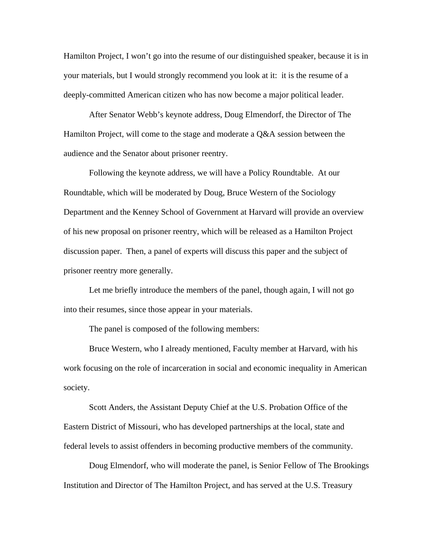Hamilton Project, I won't go into the resume of our distinguished speaker, because it is in your materials, but I would strongly recommend you look at it: it is the resume of a deeply-committed American citizen who has now become a major political leader.

After Senator Webb's keynote address, Doug Elmendorf, the Director of The Hamilton Project, will come to the stage and moderate a Q&A session between the audience and the Senator about prisoner reentry.

Following the keynote address, we will have a Policy Roundtable. At our Roundtable, which will be moderated by Doug, Bruce Western of the Sociology Department and the Kenney School of Government at Harvard will provide an overview of his new proposal on prisoner reentry, which will be released as a Hamilton Project discussion paper. Then, a panel of experts will discuss this paper and the subject of prisoner reentry more generally.

Let me briefly introduce the members of the panel, though again, I will not go into their resumes, since those appear in your materials.

The panel is composed of the following members:

Bruce Western, who I already mentioned, Faculty member at Harvard, with his work focusing on the role of incarceration in social and economic inequality in American society.

Scott Anders, the Assistant Deputy Chief at the U.S. Probation Office of the Eastern District of Missouri, who has developed partnerships at the local, state and federal levels to assist offenders in becoming productive members of the community.

Doug Elmendorf, who will moderate the panel, is Senior Fellow of The Brookings Institution and Director of The Hamilton Project, and has served at the U.S. Treasury